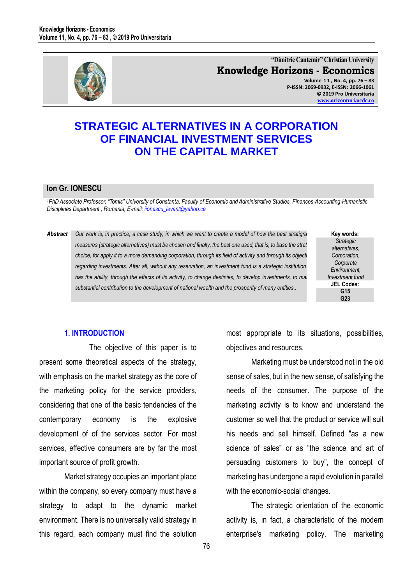

**"Dimitrie Cantemir" Christian University Knowledge Horizons - Economics Volume 1 1 , No. 4, pp. 76 – 83 P-ISSN: 2069-0932, E-ISSN: 2066-1061 © 2019 Pro Universitaria [www.orizonturi.ucdc.ro](http://www.orizonturi.ucdc.ro/)**

# **STRATEGIC ALTERNATIVES IN A CORPORATION OF FINANCIAL INVESTMENT SERVICES ON THE CAPITAL MARKET**

#### **Ion Gr. IONESCU**

<sup>1</sup>PhD Associate Professor, "Tomis" University of Constanta, Faculty of Economic and Administrative Studies, Finances-Accounting-Humanistic *Disciplines Department , Romania, E-mail[: iionescu\\_levant@yahoo.ca](mailto:iionescu_levant@yahoo.ca)* 

## Abstract *Our work is, in practice, a case study, in which we want to create a model of how the best stratigra measures (strategic alternatives) must be chosen and finally, the best one used, that is, to base the strat choice, for apply it to a more demanding corporation, through its field of activity and through its objecti* regarding investments. After all, without any reservation, an investment fund is a strategic institution has the ability, through the effects of its activity, to change destinies, to develop investments, to main *substantial contribution to the development of national wealth and the prosperity of many entities..*

**Key words:** *Strategic alternatives, Corporation, Corporate Environment, Investment fund* **JEL Codes: G15 G23**

### **1. INTRODUCTION**

The objective of this paper is to present some theoretical aspects of the strategy, with emphasis on the market strategy as the core of the marketing policy for the service providers, considering that one of the basic tendencies of the contemporary economy is the explosive development of of the services sector. For most services, effective consumers are by far the most important source of profit growth.

Market strategy occupies an important place within the company, so every company must have a strategy to adapt to the dynamic market environment. There is no universally valid strategy in this regard, each company must find the solution

most appropriate to its situations, possibilities, objectives and resources.

Marketing must be understood not in the old sense of sales, but in the new sense, of satisfying the needs of the consumer. The purpose of the marketing activity is to know and understand the customer so well that the product or service will suit his needs and sell himself. Defined "as a new science of sales" or as "the science and art of persuading customers to buy", the concept of marketing has undergone a rapid evolution in parallel with the economic-social changes.

The strategic orientation of the economic activity is, in fact, a characteristic of the modern enterprise's marketing policy. The marketing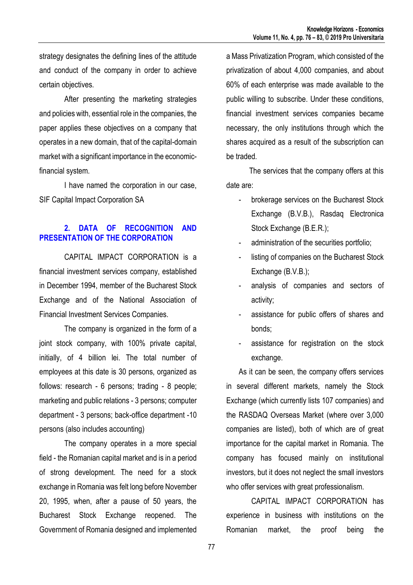strategy designates the defining lines of the attitude and conduct of the company in order to achieve certain objectives.

After presenting the marketing strategies and policies with, essential role in the companies, the paper applies these objectives on a company that operates in a new domain, that of the capital-domain market with a significant importance in the economicfinancial system.

I have named the corporation in our case, SIF Capital Impact Corporation SA

## **2. DATA OF RECOGNITION AND PRESENTATION OF THE CORPORATION**

CAPITAL IMPACT CORPORATION is a financial investment services company, established in December 1994, member of the Bucharest Stock Exchange and of the National Association of Financial Investment Services Companies.

The company is organized in the form of a joint stock company, with 100% private capital, initially, of 4 billion lei. The total number of employees at this date is 30 persons, organized as follows: research - 6 persons; trading - 8 people; marketing and public relations - 3 persons; computer department - 3 persons; back-office department -10 persons (also includes accounting)

The company operates in a more special field - the Romanian capital market and is in a period of strong development. The need for a stock exchange in Romania was felt long before November 20, 1995, when, after a pause of 50 years, the Bucharest Stock Exchange reopened. The Government of Romania designed and implemented a Mass Privatization Program, which consisted of the privatization of about 4,000 companies, and about 60% of each enterprise was made available to the public willing to subscribe. Under these conditions, financial investment services companies became necessary, the only institutions through which the shares acquired as a result of the subscription can be traded.

 The services that the company offers at this date are:

- brokerage services on the Bucharest Stock Exchange (B.V.B.), Rasdaq Electronica Stock Exchange (B.E.R.);
- administration of the securities portfolio;
- listing of companies on the Bucharest Stock Exchange (B.V.B.);
- analysis of companies and sectors of activity;
- assistance for public offers of shares and bonds;
- assistance for registration on the stock exchange.

As it can be seen, the company offers services in several different markets, namely the Stock Exchange (which currently lists 107 companies) and the RASDAQ Overseas Market (where over 3,000 companies are listed), both of which are of great importance for the capital market in Romania. The company has focused mainly on institutional investors, but it does not neglect the small investors who offer services with great professionalism.

CAPITAL IMPACT CORPORATION has experience in business with institutions on the Romanian market, the proof being the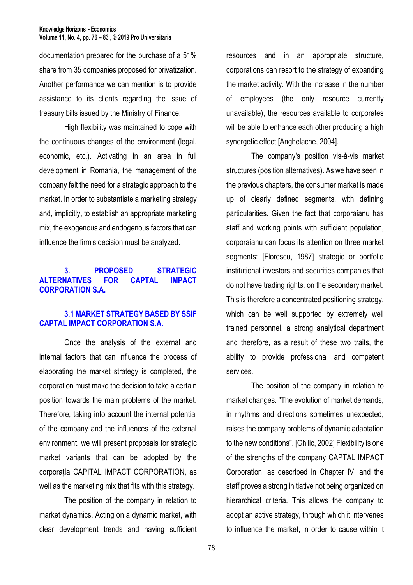documentation prepared for the purchase of a 51% share from 35 companies proposed for privatization. Another performance we can mention is to provide assistance to its clients regarding the issue of treasury bills issued by the Ministry of Finance.

High flexibility was maintained to cope with the continuous changes of the environment (legal, economic, etc.). Activating in an area in full development in Romania, the management of the company felt the need for a strategic approach to the market. In order to substantiate a marketing strategy and, implicitly, to establish an appropriate marketing mix, the exogenous and endogenous factors that can influence the firm's decision must be analyzed.

## **3. PROPOSED STRATEGIC ALTERNATIVES FOR CAPTAL IMPACT CORPORATION S.A.**

## **3.1 MARKET STRATEGY BASED BY SSIF CAPTAL IMPACT CORPORATION S.A.**

Once the analysis of the external and internal factors that can influence the process of elaborating the market strategy is completed, the corporation must make the decision to take a certain position towards the main problems of the market. Therefore, taking into account the internal potential of the company and the influences of the external environment, we will present proposals for strategic market variants that can be adopted by the corporațía CAPITAL IMPACT CORPORATION, as well as the marketing mix that fits with this strategy.

The position of the company in relation to market dynamics. Acting on a dynamic market, with clear development trends and having sufficient resources and in an appropriate structure, corporations can resort to the strategy of expanding the market activity. With the increase in the number of employees (the only resource currently unavailable), the resources available to corporates will be able to enhance each other producing a high synergetic effect [Anghelache, 2004].

The company's position vis-à-vis market structures (position alternatives). As we have seen in the previous chapters, the consumer market is made up of clearly defined segments, with defining particularities. Given the fact that corporaíanu has staff and working points with sufficient population, corporaíanu can focus its attention on three market segments: [Florescu, 1987] strategic or portfolio institutional investors and securities companies that do not have trading rights. on the secondary market. This is therefore a concentrated positioning strategy, which can be well supported by extremely well trained personnel, a strong analytical department and therefore, as a result of these two traits, the ability to provide professional and competent services.

The position of the company in relation to market changes. "The evolution of market demands, in rhythms and directions sometimes unexpected, raises the company problems of dynamic adaptation to the new conditions". [Ghilic, 2002] Flexibility is one of the strengths of the company CAPTAL IMPACT Corporation, as described in Chapter IV, and the staff proves a strong initiative not being organized on hierarchical criteria. This allows the company to adopt an active strategy, through which it intervenes to influence the market, in order to cause within it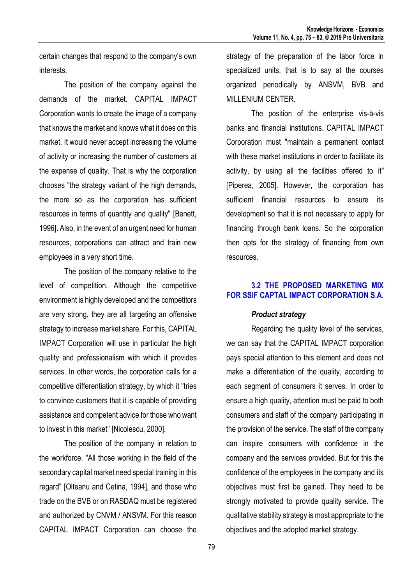certain changes that respond to the company's own interests.

The position of the company against the demands of the market. CAPITAL IMPACT Corporation wants to create the image of a company that knows the market and knows what it does on this market. It would never accept increasing the volume of activity or increasing the number of customers at the expense of quality. That is why the corporation chooses "the strategy variant of the high demands, the more so as the corporation has sufficient resources in terms of quantity and quality" [Benett, 1996]. Also, in the event of an urgent need for human resources, corporations can attract and train new employees in a very short time.

The position of the company relative to the level of competition. Although the competitive environment is highly developed and the competitors are very strong, they are all targeting an offensive strategy to increase market share. For this, CAPITAL IMPACT Corporation will use in particular the high quality and professionalism with which it provides services. In other words, the corporation calls for a competitive differentiation strategy, by which it "tries to convince customers that it is capable of providing assistance and competent advice for those who want to invest in this market" [Nicolescu, 2000].

The position of the company in relation to the workforce. "All those working in the field of the secondary capital market need special training in this regard" [Olteanu and Cetina, 1994], and those who trade on the BVB or on RASDAQ must be registered and authorized by CNVM / ANSVM. For this reason CAPITAL IMPACT Corporation can choose the strategy of the preparation of the labor force in specialized units, that is to say at the courses organized periodically by ANSVM, BVB and MILLENIUM CENTER.

The position of the enterprise vis-à-vis banks and financial institutions. CAPITAL IMPACT Corporation must "maintain a permanent contact with these market institutions in order to facilitate its activity, by using all the facilities offered to it" [Piperea, 2005]. However, the corporation has sufficient financial resources to ensure its development so that it is not necessary to apply for financing through bank loans. So the corporation then opts for the strategy of financing from own resources.

## **3.2 THE PROPOSED MARKETING MIX FOR SSIF CAPTAL IMPACT CORPORATION S.A.**

## *Product strategy*

Regarding the quality level of the services, we can say that the CAPITAL IMPACT corporation pays special attention to this element and does not make a differentiation of the quality, according to each segment of consumers it serves. In order to ensure a high quality, attention must be paid to both consumers and staff of the company participating in the provision of the service. The staff of the company can inspire consumers with confidence in the company and the services provided. But for this the confidence of the employees in the company and its objectives must first be gained. They need to be strongly motivated to provide quality service. The qualitative stability strategy is most appropriate to the objectives and the adopted market strategy.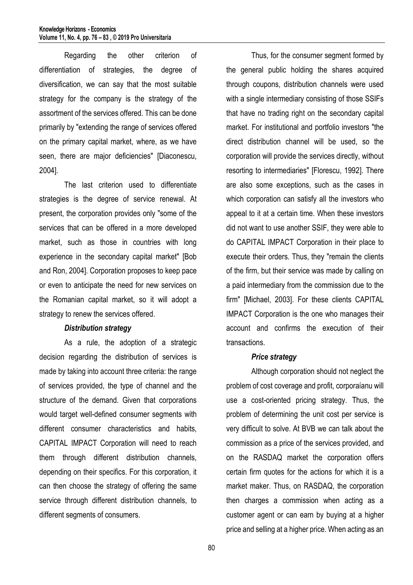Regarding the other criterion of differentiation of strategies, the degree of diversification, we can say that the most suitable strategy for the company is the strategy of the assortment of the services offered. This can be done primarily by "extending the range of services offered on the primary capital market, where, as we have seen, there are major deficiencies" [Diaconescu, 2004].

The last criterion used to differentiate strategies is the degree of service renewal. At present, the corporation provides only "some of the services that can be offered in a more developed market, such as those in countries with long experience in the secondary capital market" [Bob and Ron, 2004]. Corporation proposes to keep pace or even to anticipate the need for new services on the Romanian capital market, so it will adopt a strategy to renew the services offered.

#### *Distribution strategy*

As a rule, the adoption of a strategic decision regarding the distribution of services is made by taking into account three criteria: the range of services provided, the type of channel and the structure of the demand. Given that corporations would target well-defined consumer segments with different consumer characteristics and habits, CAPITAL IMPACT Corporation will need to reach them through different distribution channels, depending on their specifics. For this corporation, it can then choose the strategy of offering the same service through different distribution channels, to different segments of consumers.

Thus, for the consumer segment formed by the general public holding the shares acquired through coupons, distribution channels were used with a single intermediary consisting of those SSIFs that have no trading right on the secondary capital market. For institutional and portfolio investors "the direct distribution channel will be used, so the corporation will provide the services directly, without resorting to intermediaries" [Florescu, 1992]. There are also some exceptions, such as the cases in which corporation can satisfy all the investors who appeal to it at a certain time. When these investors did not want to use another SSIF, they were able to do CAPITAL IMPACT Corporation in their place to execute their orders. Thus, they "remain the clients of the firm, but their service was made by calling on a paid intermediary from the commission due to the firm" [Michael, 2003]. For these clients CAPITAL IMPACT Corporation is the one who manages their account and confirms the execution of their transactions.

#### *Price strategy*

Although corporation should not neglect the problem of cost coverage and profit, corporaíanu will use a cost-oriented pricing strategy. Thus, the problem of determining the unit cost per service is very difficult to solve. At BVB we can talk about the commission as a price of the services provided, and on the RASDAQ market the corporation offers certain firm quotes for the actions for which it is a market maker. Thus, on RASDAQ, the corporation then charges a commission when acting as a customer agent or can earn by buying at a higher price and selling at a higher price. When acting as an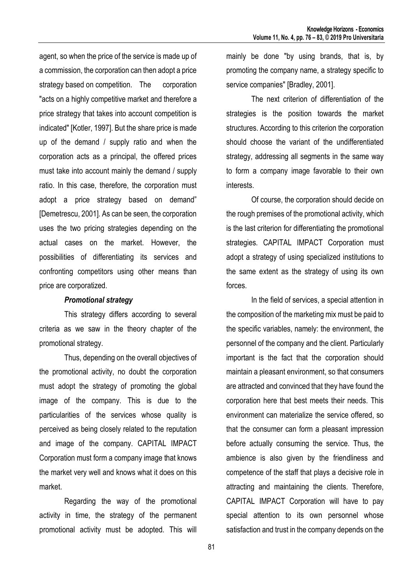agent, so when the price of the service is made up of a commission, the corporation can then adopt a price strategy based on competition. The corporation "acts on a highly competitive market and therefore a price strategy that takes into account competition is indicated" [Kotler, 1997]. But the share price is made up of the demand / supply ratio and when the corporation acts as a principal, the offered prices must take into account mainly the demand / supply ratio. In this case, therefore, the corporation must adopt a price strategy based on demand" [Demetrescu, 2001]. As can be seen, the corporation uses the two pricing strategies depending on the actual cases on the market. However, the possibilities of differentiating its services and confronting competitors using other means than price are corporatized.

#### *Promotional strategy*

This strategy differs according to several criteria as we saw in the theory chapter of the promotional strategy.

Thus, depending on the overall objectives of the promotional activity, no doubt the corporation must adopt the strategy of promoting the global image of the company. This is due to the particularities of the services whose quality is perceived as being closely related to the reputation and image of the company. CAPITAL IMPACT Corporation must form a company image that knows the market very well and knows what it does on this market.

Regarding the way of the promotional activity in time, the strategy of the permanent promotional activity must be adopted. This will

mainly be done "by using brands, that is, by promoting the company name, a strategy specific to service companies" [Bradley, 2001].

The next criterion of differentiation of the strategies is the position towards the market structures. According to this criterion the corporation should choose the variant of the undifferentiated strategy, addressing all segments in the same way to form a company image favorable to their own interests.

Of course, the corporation should decide on the rough premises of the promotional activity, which is the last criterion for differentiating the promotional strategies. CAPITAL IMPACT Corporation must adopt a strategy of using specialized institutions to the same extent as the strategy of using its own forces.

In the field of services, a special attention in the composition of the marketing mix must be paid to the specific variables, namely: the environment, the personnel of the company and the client. Particularly important is the fact that the corporation should maintain a pleasant environment, so that consumers are attracted and convinced that they have found the corporation here that best meets their needs. This environment can materialize the service offered, so that the consumer can form a pleasant impression before actually consuming the service. Thus, the ambience is also given by the friendliness and competence of the staff that plays a decisive role in attracting and maintaining the clients. Therefore, CAPITAL IMPACT Corporation will have to pay special attention to its own personnel whose satisfaction and trust in the company depends on the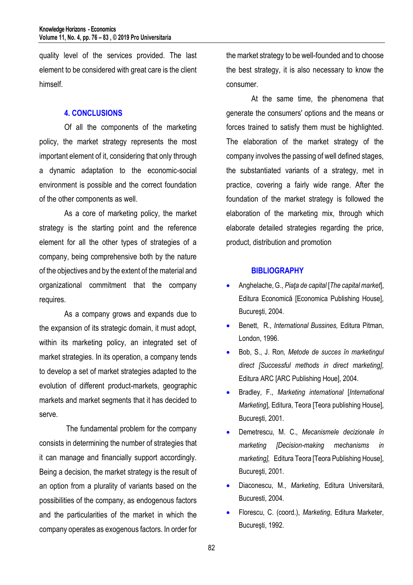quality level of the services provided. The last element to be considered with great care is the client himself.

#### **4. CONCLUSIONS**

Of all the components of the marketing policy, the market strategy represents the most important element of it, considering that only through a dynamic adaptation to the economic-social environment is possible and the correct foundation of the other components as well.

As a core of marketing policy, the market strategy is the starting point and the reference element for all the other types of strategies of a company, being comprehensive both by the nature of the objectives and by the extent of the material and organizational commitment that the company requires.

As a company grows and expands due to the expansion of its strategic domain, it must adopt, within its marketing policy, an integrated set of market strategies. In its operation, a company tends to develop a set of market strategies adapted to the evolution of different product-markets, geographic markets and market segments that it has decided to serve.

The fundamental problem for the company consists in determining the number of strategies that it can manage and financially support accordingly. Being a decision, the market strategy is the result of an option from a plurality of variants based on the possibilities of the company, as endogenous factors and the particularities of the market in which the company operates as exogenous factors. In order for

the market strategy to be well-founded and to choose the best strategy, it is also necessary to know the consumer.

At the same time, the phenomena that generate the consumers' options and the means or forces trained to satisfy them must be highlighted. The elaboration of the market strategy of the company involves the passing of well defined stages, the substantiated variants of a strategy, met in practice, covering a fairly wide range. After the foundation of the market strategy is followed the elaboration of the marketing mix, through which elaborate detailed strategies regarding the price, product, distribution and promotion

#### **BIBLIOGRAPHY**

- Anghelache, G., *Piaţa de capital* [*The capital market*], Editura Economică [Economica Publishing House], Bucureşti, 2004.
- Benett, R., *International Bussines,* Editura Pitman, London, 1996.
- Bob, S., J. Ron*, Metode de succes în marketingul direct [Successful methods in direct marketing],*  Editura ARC [ARC Publishing Houe], 2004.
- Bradley, F., *Marketing international* [*International Marketing*], Editura, Teora [Teora publishing House], Bucureşti, 2001.
- Demetrescu, M. C., *Mecanismele decizionale în marketing [Decision-making mechanisms in marketing],* Editura Teora [Teora Publishing House], Bucureşti, 2001.
- Diaconescu, M., *Marketing*, Editura Universitară, Bucuresti, 2004.
- Florescu, C. (coord.), *Marketing*, Editura Marketer, Bucureşti, 1992.